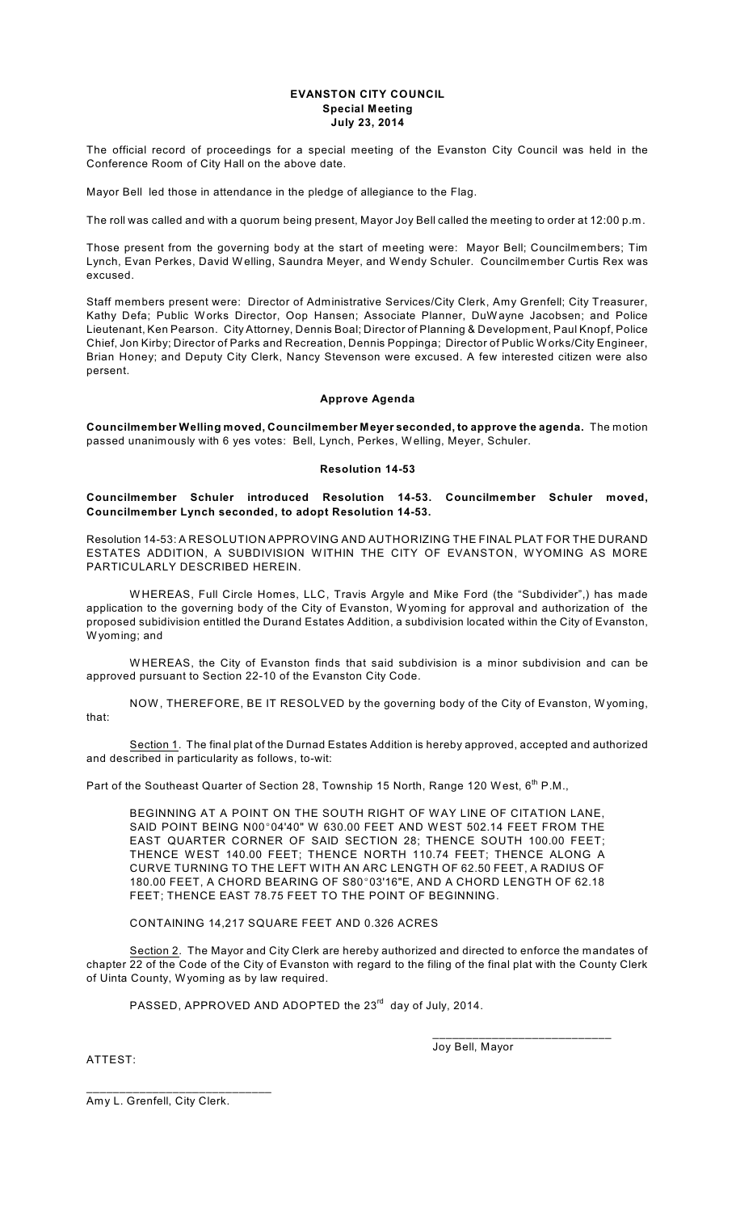### **EVANSTON CITY COUNCIL Special Meeting July 23, 2014**

The official record of proceedings for a special meeting of the Evanston City Council was held in the Conference Room of City Hall on the above date.

Mayor Bell led those in attendance in the pledge of allegiance to the Flag.

The roll was called and with a quorum being present, Mayor Joy Bell called the meeting to order at 12:00 p.m.

Those present from the governing body at the start of meeting were: Mayor Bell; Councilmembers; Tim Lynch, Evan Perkes, David W elling, Saundra Meyer, and Wendy Schuler. Councilmember Curtis Rex was excused.

Staff members present were: Director of Administrative Services/City Clerk, Amy Grenfell; City Treasurer, Kathy Defa; Public W orks Director, Oop Hansen; Associate Planner, DuWayne Jacobsen; and Police Lieutenant, Ken Pearson. City Attorney, Dennis Boal; Director of Planning & Development, Paul Knopf, Police Chief, Jon Kirby; Director of Parks and Recreation, Dennis Poppinga; Director of Public W orks/City Engineer, Brian Honey; and Deputy City Clerk, Nancy Stevenson were excused. A few interested citizen were also persent.

## **Approve Agenda**

**Councilmember Welling moved, Councilmember Meyer seconded, to approve the agenda.** The motion passed unanimously with 6 yes votes: Bell, Lynch, Perkes, W elling, Meyer, Schuler.

### **Resolution 14-53**

## **Councilmember Schuler introduced Resolution 14-53. Councilmember Schuler moved, Councilmember Lynch seconded, to adopt Resolution 14-53.**

Resolution 14-53: A RESOLUTION APPROVING AND AUTHORIZING THE FINAL PLAT FOR THE DURAND ESTATES ADDITION, A SUBDIVISION W ITHIN THE CITY OF EVANSTON, W YOMING AS MORE PARTICULARLY DESCRIBED HEREIN.

W HEREAS, Full Circle Homes, LLC, Travis Argyle and Mike Ford (the "Subdivider",) has made application to the governing body of the City of Evanston, W yoming for approval and authorization of the proposed subidivision entitled the Durand Estates Addition, a subdivision located within the City of Evanston, W yoming; and

W HEREAS, the City of Evanston finds that said subdivision is a minor subdivision and can be approved pursuant to Section 22-10 of the Evanston City Code.

NOW , THEREFORE, BE IT RESOLVED by the governing body of the City of Evanston, W yoming, that:

Section 1. The final plat of the Durnad Estates Addition is hereby approved, accepted and authorized and described in particularity as follows, to-wit:

Part of the Southeast Quarter of Section 28, Township 15 North, Range 120 West, 6<sup>th</sup> P.M.,

BEGINNING AT A POINT ON THE SOUTH RIGHT OF WAY LINE OF CITATION LANE, SAID POINT BEING N00°04'40" W 630.00 FEET AND WEST 502.14 FEET FROM THE EAST QUARTER CORNER OF SAID SECTION 28; THENCE SOUTH 100.00 FEET; THENCE WEST 140.00 FEET; THENCE NORTH 110.74 FEET; THENCE ALONG A CURVE TURNING TO THE LEFT W ITH AN ARC LENGTH OF 62.50 FEET, A RADIUS OF 180.00 FEET, A CHORD BEARING OF S80°03'16"E, AND A CHORD LENGTH OF 62.18 FEET; THENCE EAST 78.75 FEET TO THE POINT OF BEGINNING.

CONTAINING 14,217 SQUARE FEET AND 0.326 ACRES

Section 2. The Mayor and City Clerk are hereby authorized and directed to enforce the mandates of chapter 22 of the Code of the City of Evanston with regard to the filing of the final plat with the County Clerk of Uinta County, Wyoming as by law required.

PASSED, APPROVED AND ADOPTED the  $23^{\text{rd}}$  day of July, 2014.

ATTEST:

Joy Bell, Mayor

\_\_\_\_\_\_\_\_\_\_\_\_\_\_\_\_\_\_\_\_\_\_\_\_\_\_\_

Amy L. Grenfell, City Clerk.

\_\_\_\_\_\_\_\_\_\_\_\_\_\_\_\_\_\_\_\_\_\_\_\_\_\_\_\_